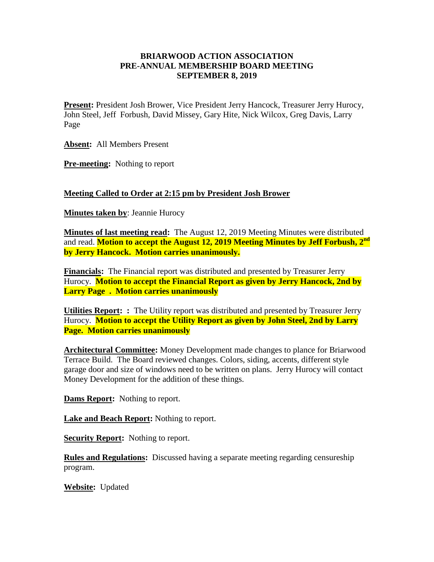## **BRIARWOOD ACTION ASSOCIATION PRE-ANNUAL MEMBERSHIP BOARD MEETING SEPTEMBER 8, 2019**

**Present:** President Josh Brower, Vice President Jerry Hancock, Treasurer Jerry Hurocy, John Steel, Jeff Forbush, David Missey, Gary Hite, Nick Wilcox, Greg Davis, Larry Page

**Absent:** All Members Present

**Pre-meeting:** Nothing to report

## **Meeting Called to Order at 2:15 pm by President Josh Brower**

**Minutes taken by**: Jeannie Hurocy

**Minutes of last meeting read:** The August 12, 2019 Meeting Minutes were distributed and read. **Motion to accept the August 12, 2019 Meeting Minutes by Jeff Forbush, 2nd by Jerry Hancock. Motion carries unanimously.**

**Financials:** The Financial report was distributed and presented by Treasurer Jerry Hurocy. **Motion to accept the Financial Report as given by Jerry Hancock, 2nd by Larry Page . Motion carries unanimously** 

**Utilities Report: :** The Utility report was distributed and presented by Treasurer Jerry Hurocy. **Motion to accept the Utility Report as given by John Steel, 2nd by Larry Page. Motion carries unanimously** 

**Architectural Committee:** Money Development made changes to plance for Briarwood Terrace Build. The Board reviewed changes. Colors, siding, accents, different style garage door and size of windows need to be written on plans. Jerry Hurocy will contact Money Development for the addition of these things.

**Dams Report:** Nothing to report.

**Lake and Beach Report:** Nothing to report.

**Security Report:** Nothing to report.

**Rules and Regulations:** Discussed having a separate meeting regarding censureship program.

**Website:** Updated